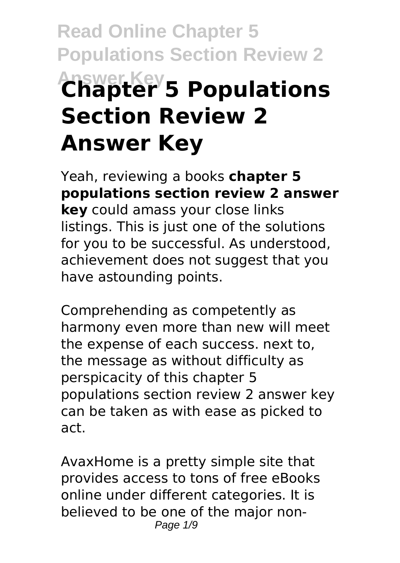# **Read Online Chapter 5 Populations Section Review 2 Answer Key Chapter 5 Populations Section Review 2 Answer Key**

Yeah, reviewing a books **chapter 5 populations section review 2 answer key** could amass your close links listings. This is just one of the solutions for you to be successful. As understood, achievement does not suggest that you have astounding points.

Comprehending as competently as harmony even more than new will meet the expense of each success. next to, the message as without difficulty as perspicacity of this chapter 5 populations section review 2 answer key can be taken as with ease as picked to act.

AvaxHome is a pretty simple site that provides access to tons of free eBooks online under different categories. It is believed to be one of the major non-Page  $1/9$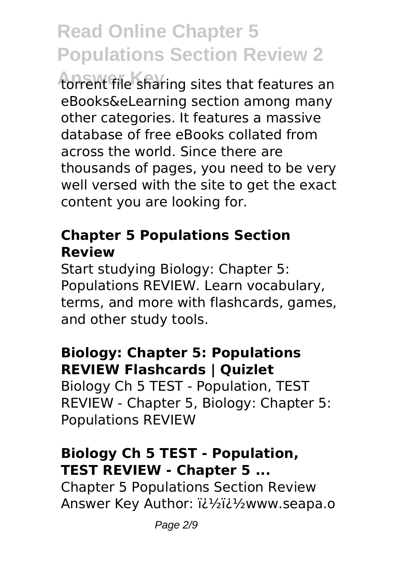torrent file sharing sites that features an eBooks&eLearning section among many other categories. It features a massive database of free eBooks collated from across the world. Since there are thousands of pages, you need to be very well versed with the site to get the exact content you are looking for.

#### **Chapter 5 Populations Section Review**

Start studying Biology: Chapter 5: Populations REVIEW. Learn vocabulary, terms, and more with flashcards, games, and other study tools.

#### **Biology: Chapter 5: Populations REVIEW Flashcards | Quizlet**

Biology Ch 5 TEST - Population, TEST REVIEW - Chapter 5, Biology: Chapter 5: Populations REVIEW

#### **Biology Ch 5 TEST - Population, TEST REVIEW - Chapter 5 ...**

Chapter 5 Populations Section Review Answer Key Author: i¿1/2i¿1/2www.seapa.o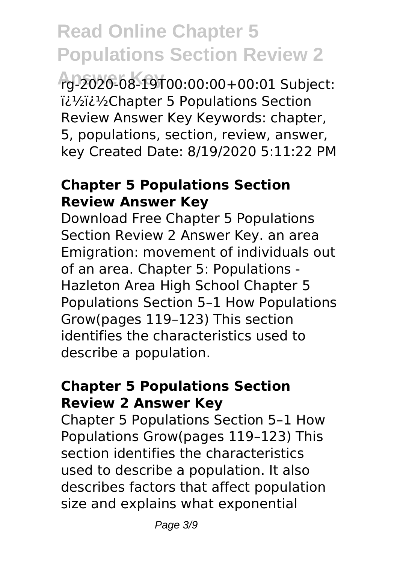**Answer Key** rg-2020-08-19T00:00:00+00:01 Subject: iil1/2iil1/2Chapter 5 Populations Section Review Answer Key Keywords: chapter, 5, populations, section, review, answer, key Created Date: 8/19/2020 5:11:22 PM

#### **Chapter 5 Populations Section Review Answer Key**

Download Free Chapter 5 Populations Section Review 2 Answer Key. an area Emigration: movement of individuals out of an area. Chapter 5: Populations - Hazleton Area High School Chapter 5 Populations Section 5–1 How Populations Grow(pages 119–123) This section identifies the characteristics used to describe a population.

#### **Chapter 5 Populations Section Review 2 Answer Key**

Chapter 5 Populations Section 5–1 How Populations Grow(pages 119–123) This section identifies the characteristics used to describe a population. It also describes factors that affect population size and explains what exponential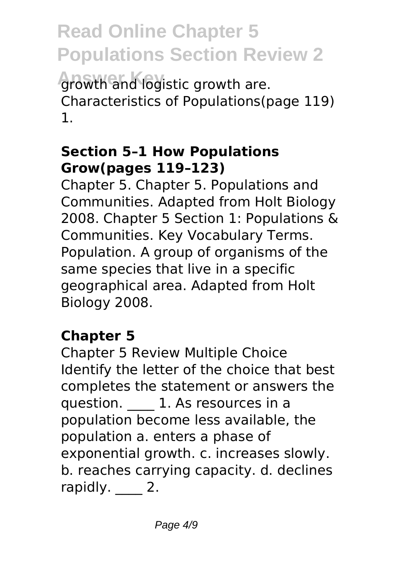**Read Online Chapter 5 Populations Section Review 2 Answer Key** growth and logistic growth are. Characteristics of Populations(page 119) 1.

#### **Section 5–1 How Populations Grow(pages 119–123)**

Chapter 5. Chapter 5. Populations and Communities. Adapted from Holt Biology 2008. Chapter 5 Section 1: Populations & Communities. Key Vocabulary Terms. Population. A group of organisms of the same species that live in a specific geographical area. Adapted from Holt Biology 2008.

#### **Chapter 5**

Chapter 5 Review Multiple Choice Identify the letter of the choice that best completes the statement or answers the question. **1.** As resources in a population become less available, the population a. enters a phase of exponential growth. c. increases slowly. b. reaches carrying capacity. d. declines rapidly. 2.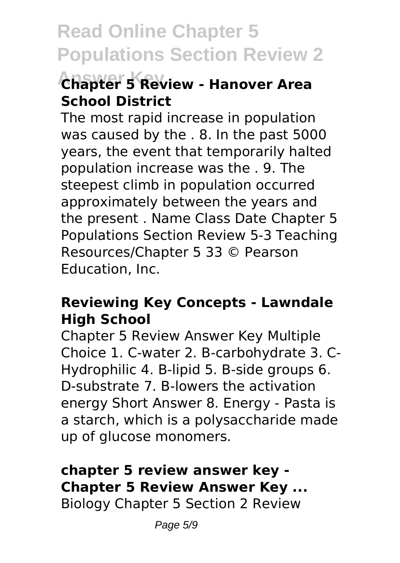### **Answer Key Chapter 5 Review - Hanover Area School District**

The most rapid increase in population was caused by the . 8. In the past 5000 years, the event that temporarily halted population increase was the . 9. The steepest climb in population occurred approximately between the years and the present . Name Class Date Chapter 5 Populations Section Review 5-3 Teaching Resources/Chapter 5 33 © Pearson Education, Inc.

#### **Reviewing Key Concepts - Lawndale High School**

Chapter 5 Review Answer Key Multiple Choice 1. C-water 2. B-carbohydrate 3. C-Hydrophilic 4. B-lipid 5. B-side groups 6. D-substrate 7. B-lowers the activation energy Short Answer 8. Energy - Pasta is a starch, which is a polysaccharide made up of glucose monomers.

#### **chapter 5 review answer key - Chapter 5 Review Answer Key ...**

Biology Chapter 5 Section 2 Review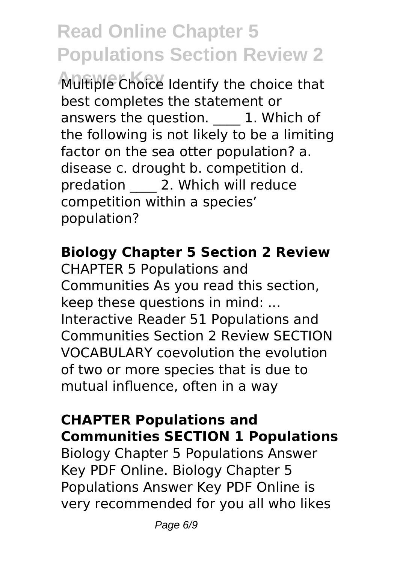**Answer Key** Multiple Choice Identify the choice that best completes the statement or answers the question. **1. Which of** the following is not likely to be a limiting factor on the sea otter population? a. disease c. drought b. competition d. predation 2. Which will reduce competition within a species' population?

#### **Biology Chapter 5 Section 2 Review**

CHAPTER 5 Populations and Communities As you read this section, keep these questions in mind: ... Interactive Reader 51 Populations and Communities Section 2 Review SECTION VOCABULARY coevolution the evolution of two or more species that is due to mutual influence, often in a way

#### **CHAPTER Populations and Communities SECTION 1 Populations**

Biology Chapter 5 Populations Answer Key PDF Online. Biology Chapter 5 Populations Answer Key PDF Online is very recommended for you all who likes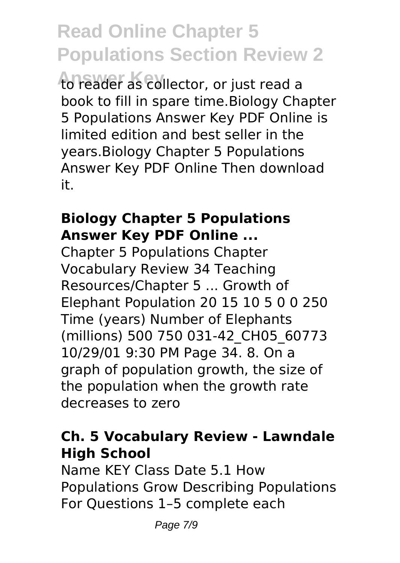**Answer Key** to reader as collector, or just read a book to fill in spare time.Biology Chapter 5 Populations Answer Key PDF Online is limited edition and best seller in the years.Biology Chapter 5 Populations Answer Key PDF Online Then download it.

#### **Biology Chapter 5 Populations Answer Key PDF Online ...**

Chapter 5 Populations Chapter Vocabulary Review 34 Teaching Resources/Chapter 5 ... Growth of Elephant Population 20 15 10 5 0 0 250 Time (years) Number of Elephants (millions) 500 750 031-42\_CH05\_60773 10/29/01 9:30 PM Page 34. 8. On a graph of population growth, the size of the population when the growth rate decreases to zero

#### **Ch. 5 Vocabulary Review - Lawndale High School**

Name KEY Class Date 5.1 How Populations Grow Describing Populations For Questions 1–5 complete each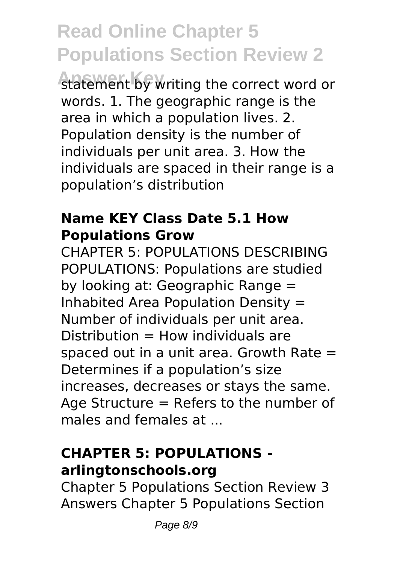statement by writing the correct word or words. 1. The geographic range is the area in which a population lives. 2. Population density is the number of individuals per unit area. 3. How the individuals are spaced in their range is a population's distribution

#### **Name KEY Class Date 5.1 How Populations Grow**

CHAPTER 5: POPULATIONS DESCRIBING POPULATIONS: Populations are studied by looking at: Geographic Range = Inhabited Area Population Density = Number of individuals per unit area.  $Distribution = How$  individuals are spaced out in a unit area. Growth Rate  $=$ Determines if a population's size increases, decreases or stays the same. Age Structure = Refers to the number of males and females at ...

#### **CHAPTER 5: POPULATIONS arlingtonschools.org**

Chapter 5 Populations Section Review 3 Answers Chapter 5 Populations Section